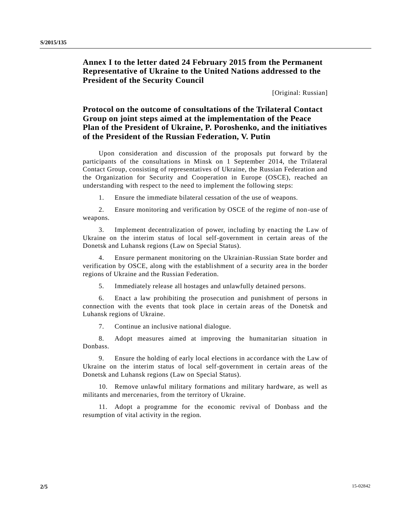## **Annex I to the letter dated 24 February 2015 from the Permanent Representative of Ukraine to the United Nations addressed to the President of the Security Council**

[Original: Russian]

## **Protocol on the outcome of consultations of the Trilateral Contact Group on joint steps aimed at the implementation of the Peace Plan of the President of Ukraine, P. Poroshenko, and the initiatives of the President of the Russian Federation, V. Putin**

Upon consideration and discussion of the proposals put forward by the participants of the consultations in Minsk on 1 September 2014, the Trilateral Contact Group, consisting of representatives of Ukraine, the Russian Federation and the Organization for Security and Cooperation in Europe (OSCE), reached an understanding with respect to the need to implement the following steps:

1. Ensure the immediate bilateral cessation of the use of weapons.

2. Ensure monitoring and verification by OSCE of the regime of non-use of weapons.

3. Implement decentralization of power, including by enacting the Law of Ukraine on the interim status of local self-government in certain areas of the Donetsk and Luhansk regions (Law on Special Status).

4. Ensure permanent monitoring on the Ukrainian-Russian State border and verification by OSCE, along with the establishment of a security area in the border regions of Ukraine and the Russian Federation.

5. Immediately release all hostages and unlawfully detained persons.

6. Enact a law prohibiting the prosecution and punishment of persons in connection with the events that took place in certain areas of the Donetsk and Luhansk regions of Ukraine.

7. Continue an inclusive national dialogue.

8. Adopt measures aimed at improving the humanitarian situation in Donbass.

9. Ensure the holding of early local elections in accordance with the Law of Ukraine on the interim status of local self-government in certain areas of the Donetsk and Luhansk regions (Law on Special Status).

10. Remove unlawful military formations and military hardware, as well as militants and mercenaries, from the territory of Ukraine.

11. Adopt a programme for the economic revival of Donbass and the resumption of vital activity in the region.